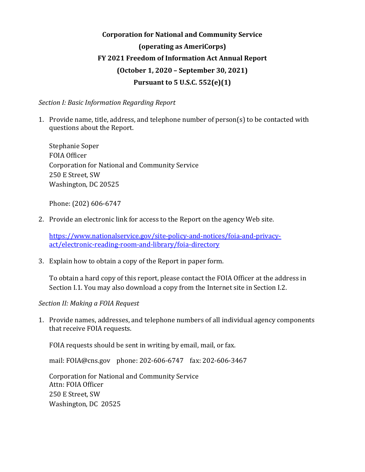# **Corporation for National and Community Service (operating as AmeriCorps) FY 2021 Freedom of Information Act Annual Report (October 1, 2020 – September 30, 2021) Pursuant to 5 U.S.C. 552(e)(1)**

*Section I: Basic Information Regarding Report* 

1. Provide name, title, address, and telephone number of person(s) to be contacted with questions about the Report.

Stephanie Soper FOIA Officer Corporation for National and Community Service 250 E Street, SW Washington, DC 20525

Phone: (202) 606-6747

2. Provide an electronic link for access to the Report on the agency Web site.

[https://www.nationalservice.gov/site-policy-and-notices/foia-and-privacy](https://www.nationalservice.gov/site-policy-and-notices/foia-and-privacy-act/electronic-reading-room-and-library/foia-directory)[act/electronic-reading-room-and-library/foia-directory](https://www.nationalservice.gov/site-policy-and-notices/foia-and-privacy-act/electronic-reading-room-and-library/foia-directory)

3. Explain how to obtain a copy of the Report in paper form.

To obtain a hard copy of this report, please contact the FOIA Officer at the address in Section I.1. You may also download a copy from the Internet site in Section I.2.

*Section II: Making a FOIA Request* 

1. Provide names, addresses, and telephone numbers of all individual agency components that receive FOIA requests.

FOIA requests should be sent in writing by email, mail, or fax.

mail: FOIA@cns.gov phone: 202-606-6747 fax: 202-606-3467

Corporation for National and Community Service Attn: FOIA Officer 250 E Street, SW Washington, DC 20525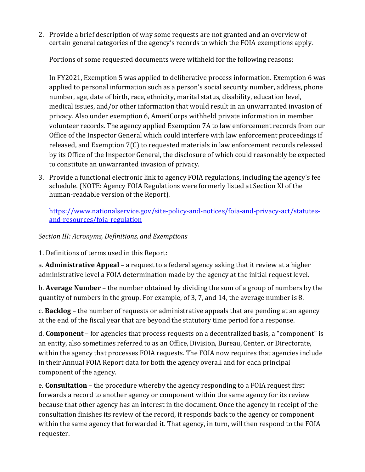2. Provide a brief description of why some requests are not granted and an overview of certain general categories of the agency's records to which the FOIA exemptions apply.

Portions of some requested documents were withheld for the following reasons:

In FY2021, Exemption 5 was applied to deliberative process information. Exemption 6 was applied to personal information such as a person's social security number, address, phone number, age, date of birth, race, ethnicity, marital status, disability, education level, medical issues, and/or other information that would result in an unwarranted invasion of privacy. Also under exemption 6, AmeriCorps withheld private information in member volunteer records. The agency applied Exemption 7A to law enforcement records from our Office of the Inspector General which could interfere with law enforcement proceedings if released, and Exemption 7(C) to requested materials in law enforcement records released by its Office of the Inspector General, the disclosure of which could reasonably be expected to constitute an unwarranted invasion of privacy.

3. Provide a functional electronic link to agency FOIA regulations, including the agency's fee schedule. (NOTE: Agency FOIA Regulations were formerly listed at Section XI of the human-readable version of the Report).

[https://www.nationalservice.gov/site-policy-and-notices/foia-and-privacy-act/statutes](https://www.nationalservice.gov/site-policy-and-notices/foia-and-privacy-act/statutes-and-resources/foia-regulation)[and-resources/foia-regulation](https://www.nationalservice.gov/site-policy-and-notices/foia-and-privacy-act/statutes-and-resources/foia-regulation)

# *Section III: Acronyms, Definitions, and Exemptions*

1. Definitions of terms used in this Report:

a. **Administrative Appeal** – a request to a federal agency asking that it review at a higher administrative level a FOIA determination made by the agency at the initial request level.

b. **Average Number** – the number obtained by dividing the sum of a group of numbers by the quantity of numbers in the group. For example, of 3, 7, and 14, the average number is 8.

c. **Backlog** – the number of requests or administrative appeals that are pending at an agency at the end of the fiscal year that are beyond the statutory time period for a response.

d. **Component** – for agencies that process requests on a decentralized basis, a "component" is an entity, also sometimes referred to as an Office, Division, Bureau, Center, or Directorate, within the agency that processes FOIA requests. The FOIA now requires that agencies include in their Annual FOIA Report data for both the agency overall and for each principal component of the agency.

e. **Consultation** – the procedure whereby the agency responding to a FOIA request first forwards a record to another agency or component within the same agency for its review because that other agency has an interest in the document. Once the agency in receipt of the consultation finishes its review of the record, it responds back to the agency or component within the same agency that forwarded it. That agency, in turn, will then respond to the FOIA requester.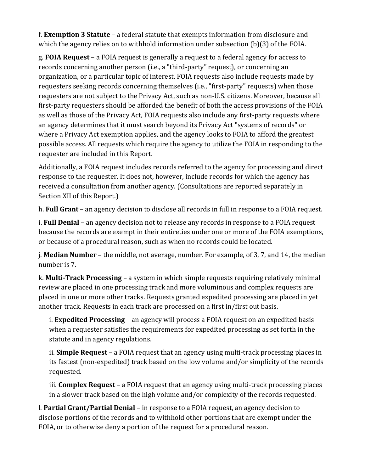f. **Exemption 3 Statute** – a federal statute that exempts information from disclosure and which the agency relies on to withhold information under subsection (b)(3) of the FOIA.

g. **FOIA Request** – a FOIA request is generally a request to a federal agency for access to records concerning another person (i.e., a "third-party" request), or concerning an organization, or a particular topic of interest. FOIA requests also include requests made by requesters seeking records concerning themselves (i.e., "first-party" requests) when those requesters are not subject to the Privacy Act, such as non-U.S. citizens. Moreover, because all first-party requesters should be afforded the benefit of both the access provisions of the FOIA as well as those of the Privacy Act, FOIA requests also include any first-party requests where an agency determines that it must search beyond its Privacy Act "systems of records" or where a Privacy Act exemption applies, and the agency looks to FOIA to afford the greatest possible access. All requests which require the agency to utilize the FOIA in responding to the requester are included in this Report.

Additionally, a FOIA request includes records referred to the agency for processing and direct response to the requester. It does not, however, include records for which the agency has received a consultation from another agency. (Consultations are reported separately in Section XII of this Report.)

h. **Full Grant** – an agency decision to disclose all records in full in response to a FOIA request.

i. **Full Denial** – an agency decision not to release any records in response to a FOIA request because the records are exempt in their entireties under one or more of the FOIA exemptions, or because of a procedural reason, such as when no records could be located.

j. **Median Number** – the middle, not average, number. For example, of 3, 7, and 14, the median number is 7.

k. **Multi-Track Processing** – a system in which simple requests requiring relatively minimal review are placed in one processing track and more voluminous and complex requests are placed in one or more other tracks. Requests granted expedited processing are placed in yet another track. Requests in each track are processed on a first in/first out basis.

i. **Expedited Processing** – an agency will process a FOIA request on an expedited basis when a requester satisfies the requirements for expedited processing as set forth in the statute and in agency regulations.

ii. **Simple Request** – a FOIA request that an agency using multi-track processing places in its fastest (non-expedited) track based on the low volume and/or simplicity of the records requested.

iii. **Complex Request** – a FOIA request that an agency using multi-track processing places in a slower track based on the high volume and/or complexity of the records requested.

l. **Partial Grant/Partial Denial** – in response to a FOIA request, an agency decision to disclose portions of the records and to withhold other portions that are exempt under the FOIA, or to otherwise deny a portion of the request for a procedural reason.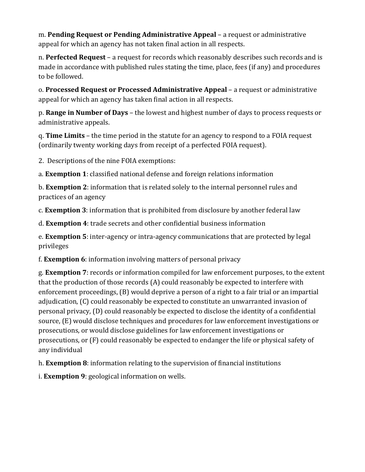m. **Pending Request or Pending Administrative Appeal** – a request or administrative appeal for which an agency has not taken final action in all respects.

n. **Perfected Request** – a request for records which reasonably describes such records and is made in accordance with published rules stating the time, place, fees (if any) and procedures to be followed.

o. **Processed Request or Processed Administrative Appeal** – a request or administrative appeal for which an agency has taken final action in all respects.

p. **Range in Number of Days** – the lowest and highest number of days to process requests or administrative appeals.

q. **Time Limits** – the time period in the statute for an agency to respond to a FOIA request (ordinarily twenty working days from receipt of a perfected FOIA request).

2. Descriptions of the nine FOIA exemptions:

a. **Exemption 1**: classified national defense and foreign relations information

b. **Exemption 2**: information that is related solely to the internal personnel rules and practices of an agency

c. **Exemption 3**: information that is prohibited from disclosure by another federal law

d. **Exemption 4**: trade secrets and other confidential business information

e. **Exemption 5**: inter-agency or intra-agency communications that are protected by legal privileges

f. **Exemption 6**: information involving matters of personal privacy

g. **Exemption 7**: records or information compiled for law enforcement purposes, to the extent that the production of those records (A) could reasonably be expected to interfere with enforcement proceedings, (B) would deprive a person of a right to a fair trial or an impartial adjudication, (C) could reasonably be expected to constitute an unwarranted invasion of personal privacy, (D) could reasonably be expected to disclose the identity of a confidential source, (E) would disclose techniques and procedures for law enforcement investigations or prosecutions, or would disclose guidelines for law enforcement investigations or prosecutions, or (F) could reasonably be expected to endanger the life or physical safety of any individual

h. **Exemption 8**: information relating to the supervision of financial institutions

i. **Exemption 9**: geological information on wells.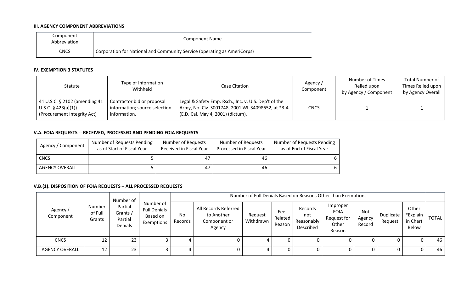#### **III. AGENCY COMPONENT ABBREVIATIONS**

| Component<br>Abbreviation | <b>Component Name</b>                                                    |
|---------------------------|--------------------------------------------------------------------------|
| CNCS                      | Corporation for National and Community Service (operating as AmeriCorps) |

#### **IV. EXEMPTION 3 STATUTES**

| Statute                                                                             | Type of Information<br>Withheld                                             | Case Citation                                                                                                                                  | Agency /<br>Component | <b>Number of Times</b><br>Relied upon<br>by Agency / Component | <b>Total Number of</b><br>Times Relied upon<br>by Agency Overall |
|-------------------------------------------------------------------------------------|-----------------------------------------------------------------------------|------------------------------------------------------------------------------------------------------------------------------------------------|-----------------------|----------------------------------------------------------------|------------------------------------------------------------------|
| 41 U.S.C. § 2102 (amending 41<br>U.S.C. § 423(a)(1))<br>(Procurement Integrity Act) | Contractor bid or proposal<br>information; source selection<br>information. | Legal & Safety Emp. Rsch., Inc. v. U.S. Dep't of the<br>Army, No. Civ. S001748, 2001 WL 34098652, at *3-4<br>(E.D. Cal. May 4, 2001) (dictum). | <b>CNCS</b>           |                                                                |                                                                  |

### **V.A. FOIA REQUESTS -- RECEIVED, PROCESSED AND PENDING FOIA REQUESTS**

| Agency / Component    | Number of Requests Pending<br>as of Start of Fiscal Year | Number of Requests<br>Received in Fiscal Year | Number of Requests<br>Processed in Fiscal Year | Number of Requests Pending<br>as of End of Fiscal Year |
|-----------------------|----------------------------------------------------------|-----------------------------------------------|------------------------------------------------|--------------------------------------------------------|
| <b>CNCS</b>           |                                                          | 47                                            | 46                                             |                                                        |
| <b>AGENCY OVERALL</b> |                                                          | 47                                            | 46                                             |                                                        |

# **V.B.(1). DISPOSITION OF FOIA REQUESTS – ALL PROCESSED REQUESTS**

|                       |                                                                          | Number of                                                  |               |                                                              | Number of Full Denials Based on Reasons Other than Exemptions |                           |                                           |                                                           |                         |                      |                                        |              |      |  |  |
|-----------------------|--------------------------------------------------------------------------|------------------------------------------------------------|---------------|--------------------------------------------------------------|---------------------------------------------------------------|---------------------------|-------------------------------------------|-----------------------------------------------------------|-------------------------|----------------------|----------------------------------------|--------------|------|--|--|
| Agency /<br>Component | Partial<br>Number<br>of Full<br>Grants /<br>Partial<br>Grants<br>Denials | Number of<br><b>Full Denials</b><br>Based on<br>Exemptions | No<br>Records | All Records Referred<br>to Another<br>Component or<br>Agency | Request<br>Withdrawn                                          | Fee-<br>Related<br>Reason | Records<br>not<br>Reasonably<br>Described | Improper<br><b>FOIA</b><br>Request for<br>Other<br>Reason | Not<br>Agency<br>Record | Duplicate<br>Request | Other<br>*Explain<br>in Chart<br>Below | <b>TOTAL</b> |      |  |  |
| <b>CNCS</b>           | 12                                                                       | 23                                                         |               | 4                                                            |                                                               | 4                         | 0                                         |                                                           |                         |                      | 0                                      | 0            | 46 I |  |  |
| <b>AGENCY OVERALL</b> | 12                                                                       | 23 <sub>1</sub>                                            |               | 4                                                            |                                                               | 4                         | 0                                         |                                                           | O                       |                      | 0                                      | 0            | 46   |  |  |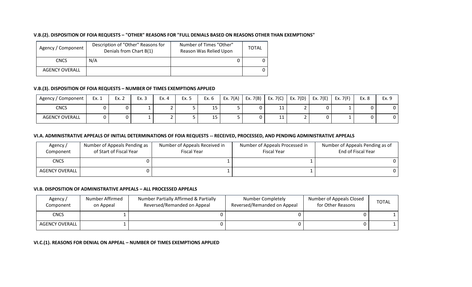#### **V.B.(2). DISPOSITION OF FOIA REQUESTS – "OTHER" REASONS FOR "FULL DENIALS BASED ON REASONS OTHER THAN EXEMPTIONS"**

| Agency / Component    | Description of "Other" Reasons for<br>Denials from Chart B(1) | Number of Times "Other"<br>Reason Was Relied Upon | <b>TOTAL</b> |
|-----------------------|---------------------------------------------------------------|---------------------------------------------------|--------------|
| <b>CNCS</b>           | N/A                                                           |                                                   |              |
| <b>AGENCY OVERALL</b> |                                                               |                                                   | 0            |

# **V.B.(3). DISPOSITION OF FOIA REQUESTS – NUMBER OF TIMES EXEMPTIONS APPLIED**

| ' Component<br>Agency / | Ex. 1 | Ex. 2 | Ex. 3 | Ex. 4 | Ex. 5 | Ex. 6 | Ex. $7(A)$ | Ex. 7(B) | Ex. $7(C)$ | Ex. $7(D)$ | Ex. $7(E)$ | Ex. $7(F)$ | Ex. 8 | Ex. 9 |
|-------------------------|-------|-------|-------|-------|-------|-------|------------|----------|------------|------------|------------|------------|-------|-------|
| <b>CNCS</b>             |       |       |       |       |       | د⊥    |            |          | ᆠᆠ         |            |            |            |       | v.    |
| <b>AGENCY OVERALL</b>   |       |       |       |       |       | د⊥    |            |          | + +        |            |            |            |       | י ש   |

#### **VI.A. ADMINISTRATIVE APPEALS OF INITIAL DETERMINATIONS OF FOIA REQUESTS -- RECEIVED, PROCESSED, AND PENDING ADMINISTRATIVE APPEALS**

| Agency/<br>Component  | Number of Appeals Pending as<br>of Start of Fiscal Year | Number of Appeals Received in<br><b>Fiscal Year</b> | Number of Appeals Processed in<br><b>Fiscal Year</b> | Number of Appeals Pending as of<br>End of Fiscal Year |
|-----------------------|---------------------------------------------------------|-----------------------------------------------------|------------------------------------------------------|-------------------------------------------------------|
| <b>CNCS</b>           |                                                         |                                                     |                                                      |                                                       |
| <b>AGENCY OVERALL</b> |                                                         |                                                     |                                                      |                                                       |

#### **VI.B. DISPOSITION OF ADMINISTRATIVE APPEALS – ALL PROCESSED APPEALS**

| Agency/<br>Component | Number Affirmed<br>on Appeal | Number Partially Affirmed & Partially<br>Reversed/Remanded on Appeal | Number Completely<br>Reversed/Remanded on Appeal | Number of Appeals Closed<br>for Other Reasons | <b>TOTAL</b> |
|----------------------|------------------------------|----------------------------------------------------------------------|--------------------------------------------------|-----------------------------------------------|--------------|
| <b>CNCS</b>          |                              |                                                                      |                                                  |                                               |              |
| AGENCY OVERALL       |                              |                                                                      |                                                  |                                               |              |

#### **VI.C.(1). REASONS FOR DENIAL ON APPEAL – NUMBER OF TIMES EXEMPTIONS APPLIED**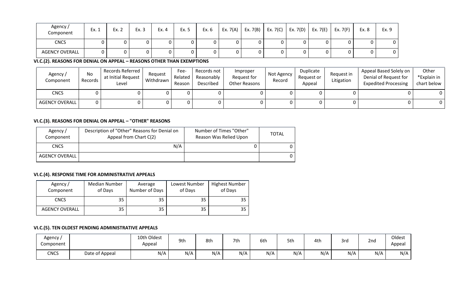| Agency /<br>Component | Ex. 1 | Ex. 2 | Ex. 3 | Ex. 4 | Ex. 5 | Ex. 6 | Ex. 7(A) | Ex. 7(B) | Ex. $7(C)$ | Ex. $7(D)$ | Ex. $7(E)$ | Ex. $7(F)$ | Ex. 8 | Ex. 9 |
|-----------------------|-------|-------|-------|-------|-------|-------|----------|----------|------------|------------|------------|------------|-------|-------|
| <b>CNCS</b>           |       |       |       |       |       |       |          |          |            |            |            |            |       | 0     |
| <b>AGENCY OVERALL</b> |       |       |       |       |       |       |          |          |            | v          |            |            |       | 0     |

**VI.C.(2). REASONS FOR DENIAL ON APPEAL – REASONS OTHER THAN EXEMPTIONS**

| Agency/<br>Component  | No<br>Records | Records Referred<br>at Initial Request<br>Level | Request<br>Withdrawn | Fee-<br>Related<br>Reason | Records not<br>Reasonably<br>Described | Improper<br>Request for<br>Other Reasons | Not Agency<br>Record | Duplicate<br>Request or<br>Appeal | Request in<br>Litigation | Appeal Based Solely on<br>Denial of Request for<br><b>Expedited Processing</b> | Other<br>*Explain in<br>chart below |
|-----------------------|---------------|-------------------------------------------------|----------------------|---------------------------|----------------------------------------|------------------------------------------|----------------------|-----------------------------------|--------------------------|--------------------------------------------------------------------------------|-------------------------------------|
| <b>CNCS</b>           |               |                                                 |                      |                           |                                        |                                          |                      |                                   |                          |                                                                                |                                     |
| <b>AGENCY OVERALL</b> |               |                                                 |                      |                           |                                        |                                          |                      |                                   |                          |                                                                                |                                     |

# **VI.C.(3). REASONS FOR DENIAL ON APPEAL – "OTHER" REASONS**

| Agency /<br>Component | Description of "Other" Reasons for Denial on<br>Appeal from Chart C(2) | Number of Times "Other"<br>Reason Was Relied Upon | TOTAL |
|-----------------------|------------------------------------------------------------------------|---------------------------------------------------|-------|
| CNCS                  | N/A                                                                    |                                                   |       |
| <b>AGENCY OVERALL</b> |                                                                        |                                                   | 0     |

# **VI.C.(4). RESPONSE TIME FOR ADMINISTRATIVE APPEALS**

| Agency/<br>Component  | Median Number<br>of Days | Average<br>Number of Days | Lowest Number<br>of Days | <b>Highest Number</b><br>of Days |
|-----------------------|--------------------------|---------------------------|--------------------------|----------------------------------|
| <b>CNCS</b>           | 35                       | 35                        | 35                       | 35                               |
| <b>AGENCY OVERALL</b> | 35                       | 35                        | 35                       | 35                               |

# **VI.C.(5). TEN OLDEST PENDING ADMINISTRATIVE APPEALS**

| Agency<br>Component |                | 10th Oldest<br>Appea. | 9th | 8th | 7th | 6th | 5th | 4th | 3rd | 2nd | Oldest<br>Appea |
|---------------------|----------------|-----------------------|-----|-----|-----|-----|-----|-----|-----|-----|-----------------|
| <b>CNCS</b>         | Date of Appeal | N/A                   | N/A | N/A | N/A | N/A | N/A | N/A | N/A | N/A | N/A             |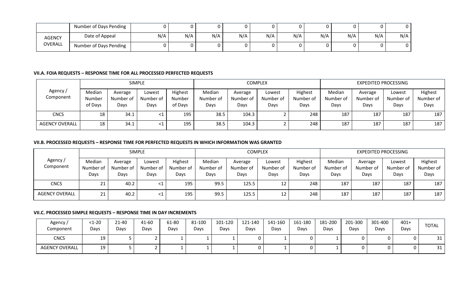|                | Number of Days Pending |     |     |     |     |     |     |     |     |     |     |
|----------------|------------------------|-----|-----|-----|-----|-----|-----|-----|-----|-----|-----|
| AGENCY         | Date of Appeal         | N/A | N/A | N/A | N/A | N/A | N/A | N/A | N/A | N/A | N/A |
| <b>OVERALL</b> | Number of Days Pending |     |     |     |     |     |     |     |     |     |     |

#### **VII.A. FOIA REQUESTS – RESPONSE TIME FOR ALL PROCESSED PERFECTED REQUESTS**

|                       |                             |                              | <b>SIMPLE</b>               |                              |                             |                              | <b>COMPLEX</b>              |                              |                             | <b>EXPEDITED PROCESSING</b>  |                             |                              |
|-----------------------|-----------------------------|------------------------------|-----------------------------|------------------------------|-----------------------------|------------------------------|-----------------------------|------------------------------|-----------------------------|------------------------------|-----------------------------|------------------------------|
| Agency /<br>Component | Median<br>Number<br>of Days | Average<br>Number of<br>Days | Lowest<br>Number of<br>Days | Highest<br>Number<br>of Days | Median<br>Number of<br>Days | Average<br>Number of<br>Days | Lowest<br>Number of<br>Days | Highest<br>Number of<br>Days | Median<br>Number of<br>Days | Average<br>Number of<br>Days | Lowest<br>Number of<br>Days | Highest<br>Number of<br>Days |
| <b>CNCS</b>           | 18                          | 34.1                         |                             | 195                          | 38.5                        | 104.3                        |                             | 248                          | 187                         | 187                          | 187                         | 187                          |
| <b>AGENCY OVERALL</b> | 18                          | 34.1                         | - <1                        | 195                          | 38.5                        | 104.3                        |                             | 248                          | 187                         | 187                          | 187                         | 187                          |

#### **VII.B. PROCESSED REQUESTS – RESPONSE TIME FOR PERFECTED REQUESTS IN WHICH INFORMATION WAS GRANTED**

|                       |                             |                              | <b>SIMPLE</b>               |                              |                             |                              | <b>COMPLEX</b>              |                              |                             |                              | <b>EXPEDITED PROCESSING</b> |                              |
|-----------------------|-----------------------------|------------------------------|-----------------------------|------------------------------|-----------------------------|------------------------------|-----------------------------|------------------------------|-----------------------------|------------------------------|-----------------------------|------------------------------|
| Agency /<br>Component | Median<br>Number of<br>Days | Average<br>Number of<br>Days | Lowest<br>Number of<br>Days | Highest<br>Number of<br>Days | Median<br>Number of<br>Days | Average<br>Number of<br>Days | Lowest<br>Number of<br>Days | Highest<br>Number of<br>Days | Median<br>Number of<br>Days | Average<br>Number of<br>Days | Lowest<br>Number of<br>Days | Highest<br>Number of<br>Days |
| <b>CNCS</b>           | 2T                          | 40.2                         |                             | 195                          | 99.5                        | 125.5                        | 12                          | 248                          | 187                         | 187                          | 187                         | 187                          |
| <b>AGENCY OVERALL</b> | ᄼᅩ                          | 40.2                         | $\leq 1$                    | 195                          | 99.5                        | 125.5                        | 12                          | 248                          | 187                         | 187                          | 187                         | 187                          |

### **VII.C. PROCESSED SIMPLE REQUESTS – RESPONSE TIME IN DAY INCREMENTS**

| Agency /<br>Component | $1-20$<br>Days | 21-40<br>Days | 41-60<br>Days | 61-80<br>Days | 81-100<br>Days | 101-120<br>Days | 121-140<br>Days | 141-160<br>Days | 161-180<br>Days | 181-200<br>Days | 201-300<br>Days | 301-400<br>Days | $401+$<br>Days | <b>TOTAL</b> |
|-----------------------|----------------|---------------|---------------|---------------|----------------|-----------------|-----------------|-----------------|-----------------|-----------------|-----------------|-----------------|----------------|--------------|
| <b>CNCS</b>           | 19             |               |               |               |                |                 |                 |                 | 0               |                 |                 |                 |                | 31<br>⊥ ب    |
| <b>AGENCY OVERALL</b> | 19             |               |               |               |                |                 |                 |                 | 0               |                 |                 |                 |                | 31<br>⊥ ب    |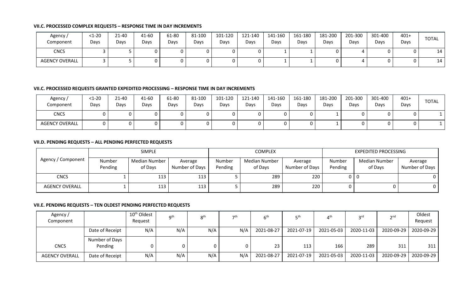#### **VII.C. PROCESSED COMPLEX REQUESTS – RESPONSE TIME IN DAY INCREMENTS**

| Agency/<br>Component  | $<1-20$<br>Days | 21-40<br>Days | 41-60<br>Days | 61-80<br>Days | 81-100<br>Days | 101-120<br>Days | 121-140<br>Days | 141-160<br>Days | 161-180<br>Days | 181-200<br>Days | 201-300<br>Days | 301-400<br>Days | $401+$<br>Days | <b>TOTAL</b> |
|-----------------------|-----------------|---------------|---------------|---------------|----------------|-----------------|-----------------|-----------------|-----------------|-----------------|-----------------|-----------------|----------------|--------------|
| <b>CNCS</b>           |                 |               |               |               |                |                 |                 |                 |                 |                 |                 |                 |                | 14           |
| <b>AGENCY OVERALL</b> |                 |               |               |               |                |                 |                 |                 |                 |                 |                 |                 |                | 14           |

#### **VII.C. PROCESSED REQUESTS GRANTED EXPEDITED PROCESSING – RESPONSE TIME IN DAY INCREMENTS**

| Agency /<br>Component | $<1-20$<br>Days | 21-40<br>Days | 41-60<br>Days | 61-80<br>Days | 81-100<br>Days | 101-120<br>Days | 121-140<br>Days | 141-160<br>Days | 161-180<br>Days | 181-200<br>Days | 201-300<br>Davs | 301-400<br>Days | $401+$<br>Days | TOTAL |
|-----------------------|-----------------|---------------|---------------|---------------|----------------|-----------------|-----------------|-----------------|-----------------|-----------------|-----------------|-----------------|----------------|-------|
| <b>CNCS</b>           |                 |               |               |               |                |                 |                 |                 | $\mathbf{0}$    |                 | υ               |                 |                |       |
| <b>AGENCY OVERALL</b> |                 |               |               |               |                |                 |                 |                 | 0               |                 | U               |                 |                |       |

#### **VII.D. PENDING REQUESTS – ALL PENDING PERFECTED REQUESTS**

|                       |                   | <b>SIMPLE</b>                   |                           |                   | <b>COMPLEX</b>                  |                           |                   | <b>EXPEDITED PROCESSING</b> |                           |
|-----------------------|-------------------|---------------------------------|---------------------------|-------------------|---------------------------------|---------------------------|-------------------|-----------------------------|---------------------------|
| Agency / Component    | Number<br>Pending | <b>Median Number</b><br>of Days | Average<br>Number of Days | Number<br>Pending | <b>Median Number</b><br>of Days | Average<br>Number of Days | Number<br>Pending | Median Number<br>of Days    | Average<br>Number of Days |
| <b>CNCS</b>           |                   | 113                             | 113                       |                   | 289                             | 220                       | 0   0             |                             |                           |
| <b>AGENCY OVERALL</b> |                   | 113                             | 113                       |                   | 289                             | 220                       | 0                 |                             |                           |

#### **VII.E. PENDING REQUESTS – TEN OLDEST PENDING PERFECTED REQUESTS**

| Agency /<br>Component |                           | 10 <sup>th</sup> Oldest<br>Request | $\mathbf{a}$ th | 8 <sup>th</sup> | っさい | $6^{\mathsf{t} \mathsf{t}}$ | πth        | $4^{\sf th}$ | <b>2rd</b> | 2nq        | Oldest<br>Request |
|-----------------------|---------------------------|------------------------------------|-----------------|-----------------|-----|-----------------------------|------------|--------------|------------|------------|-------------------|
|                       | Date of Receipt           | N/A                                | N/A             | N/A             | N/A | 2021-08-27                  | 2021-07-19 | 2021-05-03   | 2020-11-03 | 2020-09-29 | 2020-09-29        |
| <b>CNCS</b>           | Number of Days<br>Pending |                                    |                 |                 |     | 23                          | 113        | 166          | 289        | 311        | 311               |
| <b>AGENCY OVERALL</b> | Date of Receipt           | N/A                                | N/A             | N/A             | N/A | 2021-08-27                  | 2021-07-19 | 2021-05-03   | 2020-11-03 | 2020-09-29 | 2020-09-29        |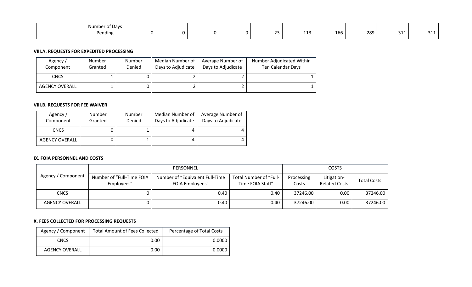| $\sim$ $\sim$<br>$\sim$ $\sim$<br>Number of Days |  |  |                     |                        |     |     |                              |                             |
|--------------------------------------------------|--|--|---------------------|------------------------|-----|-----|------------------------------|-----------------------------|
| ending<br>. .                                    |  |  | $\sim$ $\sim$<br>-- | $\overline{A}$<br>---- | 166 | 289 | $\sim$ $\sim$ $\sim$<br>JIJ. | $\sim$ $\sim$ $\sim$<br>--- |

#### **VIII.A. REQUESTS FOR EXPEDITED PROCESSING**

| Agency /<br>Component | Number<br>Granted | Number<br>Denied | Median Number of<br>Days to Adjudicate | Average Number of<br>Days to Adjudicate | Number Adjudicated Within<br>Ten Calendar Days |
|-----------------------|-------------------|------------------|----------------------------------------|-----------------------------------------|------------------------------------------------|
| <b>CNCS</b>           |                   |                  |                                        |                                         |                                                |
| AGENCY OVERALL        |                   |                  |                                        |                                         |                                                |

# **VIII.B. REQUESTS FOR FEE WAIVER**

| Agency/<br>Component  | Number<br>Granted | Number<br>Denied | Median Number of<br>Days to Adjudicate | Average Number of<br>Days to Adjudicate |
|-----------------------|-------------------|------------------|----------------------------------------|-----------------------------------------|
| CNCS                  |                   |                  |                                        |                                         |
| <b>AGENCY OVERALL</b> |                   |                  |                                        |                                         |

#### **IX. FOIA PERSONNEL AND COSTS**

|                    |                                         | PERSONNEL                                           |                                            |                     | <b>COSTS</b>                        |                    |
|--------------------|-----------------------------------------|-----------------------------------------------------|--------------------------------------------|---------------------|-------------------------------------|--------------------|
| Agency / Component | Number of "Full-Time FOIA<br>Employees" | Number of "Equivalent Full-Time"<br>FOIA Employees" | Total Number of "Full-<br>Time FOIA Staff" | Processing<br>Costs | Litigation-<br><b>Related Costs</b> | <b>Total Costs</b> |
| <b>CNCS</b>        |                                         | 0.40                                                | 0.40                                       | 37246.00            | 0.00                                | 37246.00           |
| AGENCY OVERALL     |                                         | 0.40                                                | 0.40                                       | 37246.00            | 0.00                                | 37246.00           |

# **X. FEES COLLECTED FOR PROCESSING REQUESTS**

| Agency / Component    | <b>Total Amount of Fees Collected</b> | Percentage of Total Costs |
|-----------------------|---------------------------------------|---------------------------|
| <b>CNCS</b>           | 0.00                                  | 0.0000                    |
| <b>AGENCY OVERALL</b> | 0.00                                  | 0.0000                    |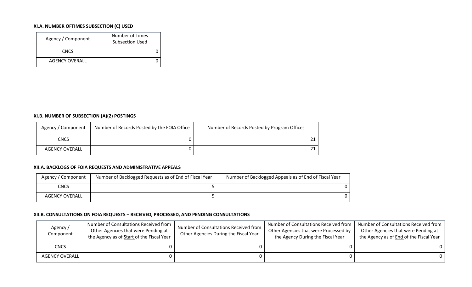# **XI.A. NUMBER OFTIMES SUBSECTION (C) USED**

| Agency / Component    | Number of Times<br>Subsection Used |
|-----------------------|------------------------------------|
| <b>CNCS</b>           |                                    |
| <b>AGENCY OVERALL</b> |                                    |

#### **XI.B. NUMBER OF SUBSECTION (A)(2) POSTINGS**

| Agency / Component    | Number of Records Posted by the FOIA Office | Number of Records Posted by Program Offices |
|-----------------------|---------------------------------------------|---------------------------------------------|
| <b>CNCS</b>           |                                             |                                             |
| <b>AGENCY OVERALL</b> |                                             |                                             |

#### **XII.A. BACKLOGS OF FOIA REQUESTS AND ADMINISTRATIVE APPEALS**

| Agency / Component | Number of Backlogged Requests as of End of Fiscal Year | Number of Backlogged Appeals as of End of Fiscal Year |
|--------------------|--------------------------------------------------------|-------------------------------------------------------|
| CNCS               |                                                        |                                                       |
| AGENCY OVERALL     |                                                        |                                                       |

#### **XII.B. CONSULTATIONS ON FOIA REQUESTS – RECEIVED, PROCESSED, AND PENDING CONSULTATIONS**

| Agency /<br>Component | Number of Consultations Received from<br>Other Agencies that were Pending at<br>the Agency as of Start of the Fiscal Year | Number of Consultations Received from<br>Other Agencies During the Fiscal Year | Number of Consultations Received from<br>Other Agencies that were Processed by<br>the Agency During the Fiscal Year | Number of Consultations Received from<br>Other Agencies that were Pending at<br>the Agency as of End of the Fiscal Year |
|-----------------------|---------------------------------------------------------------------------------------------------------------------------|--------------------------------------------------------------------------------|---------------------------------------------------------------------------------------------------------------------|-------------------------------------------------------------------------------------------------------------------------|
| <b>CNCS</b>           |                                                                                                                           |                                                                                |                                                                                                                     |                                                                                                                         |
| <b>AGENCY OVERALL</b> |                                                                                                                           |                                                                                |                                                                                                                     |                                                                                                                         |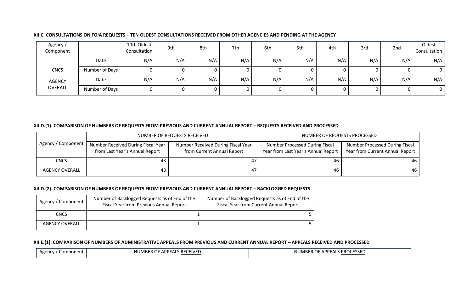| Agency /<br>Component |                | 10th Oldest<br>Consultation | 9th | 8th | 7th | 6th | 5th | 4th | 3rd | 2nd | Oldest<br>Consultation |
|-----------------------|----------------|-----------------------------|-----|-----|-----|-----|-----|-----|-----|-----|------------------------|
|                       | Date           | N/A                         | N/A | N/A | N/A | N/A | N/A | N/A | N/A | N/A | N/A                    |
| <b>CNCS</b>           | Number of Days |                             |     |     |     |     |     |     |     | 0   | $\overline{0}$         |
| <b>AGENCY</b>         | Date           | N/A                         | N/A | N/A | N/A | N/A | N/A | N/A | N/A | N/A | N/A                    |
| OVERALL               | Number of Days |                             |     |     |     |     |     |     |     | 0   | $\overline{0}$         |

#### **XII.C. CONSULTATIONS ON FOIA REQUESTS – TEN OLDEST CONSULTATIONS RECEIVED FROM OTHER AGENCIES AND PENDING AT THE AGENCY**

#### **XII.D.(1). COMPARISON OF NUMBERS OF REQUESTS FROM PREVIOUS AND CURRENT ANNUAL REPORT – REQUESTS RECEIVED AND PROCESSED**

|                       |                                                                        | NUMBER OF REQUESTS RECEIVED                                      | NUMBER OF REQUESTS PROCESSED                                          |                                                                          |  |
|-----------------------|------------------------------------------------------------------------|------------------------------------------------------------------|-----------------------------------------------------------------------|--------------------------------------------------------------------------|--|
| Agency / Component    | Number Received During Fiscal Year '<br>from Last Year's Annual Report | Number Received During Fiscal Year<br>from Current Annual Report | Number Processed During Fiscal<br>Year from Last Year's Annual Report | <b>Number Processed During Fiscal</b><br>Year from Current Annual Report |  |
| <b>CNCS</b>           | 43                                                                     | 47                                                               | 46                                                                    | 46 I                                                                     |  |
| <b>AGENCY OVERALL</b> | 43                                                                     | 47                                                               | 46                                                                    | 46 I                                                                     |  |

# **XII.D.(2). COMPARISON OF NUMBERS OF REQUESTS FROM PREVIOUS AND CURRENT ANNUAL REPORT – BACKLOGGED REQUESTS**

| Agency / Component    | Number of Backlogged Requests as of End of the<br><b>Fiscal Year from Previous Annual Report</b> | Number of Backlogged Requests as of End of the<br><b>Fiscal Year from Current Annual Report</b> |
|-----------------------|--------------------------------------------------------------------------------------------------|-------------------------------------------------------------------------------------------------|
| <b>CNCS</b>           |                                                                                                  |                                                                                                 |
| <b>AGENCY OVERALL</b> |                                                                                                  |                                                                                                 |

#### **XII.E.(1). COMPARISON OF NUMBERS OF ADMINISTRATIVE APPEALS FROM PREVIOUS AND CURRENT ANNUAL REPORT – APPEALS RECEIVED AND PROCESSED**

| Δσε<br>Component | FIVFI<br>NU.<br>.DD<br>71 F | JME<br>וחח<br>. PROC<br>$\sim$<br>ו וו<br>$\cdot$ |
|------------------|-----------------------------|---------------------------------------------------|
|                  |                             |                                                   |